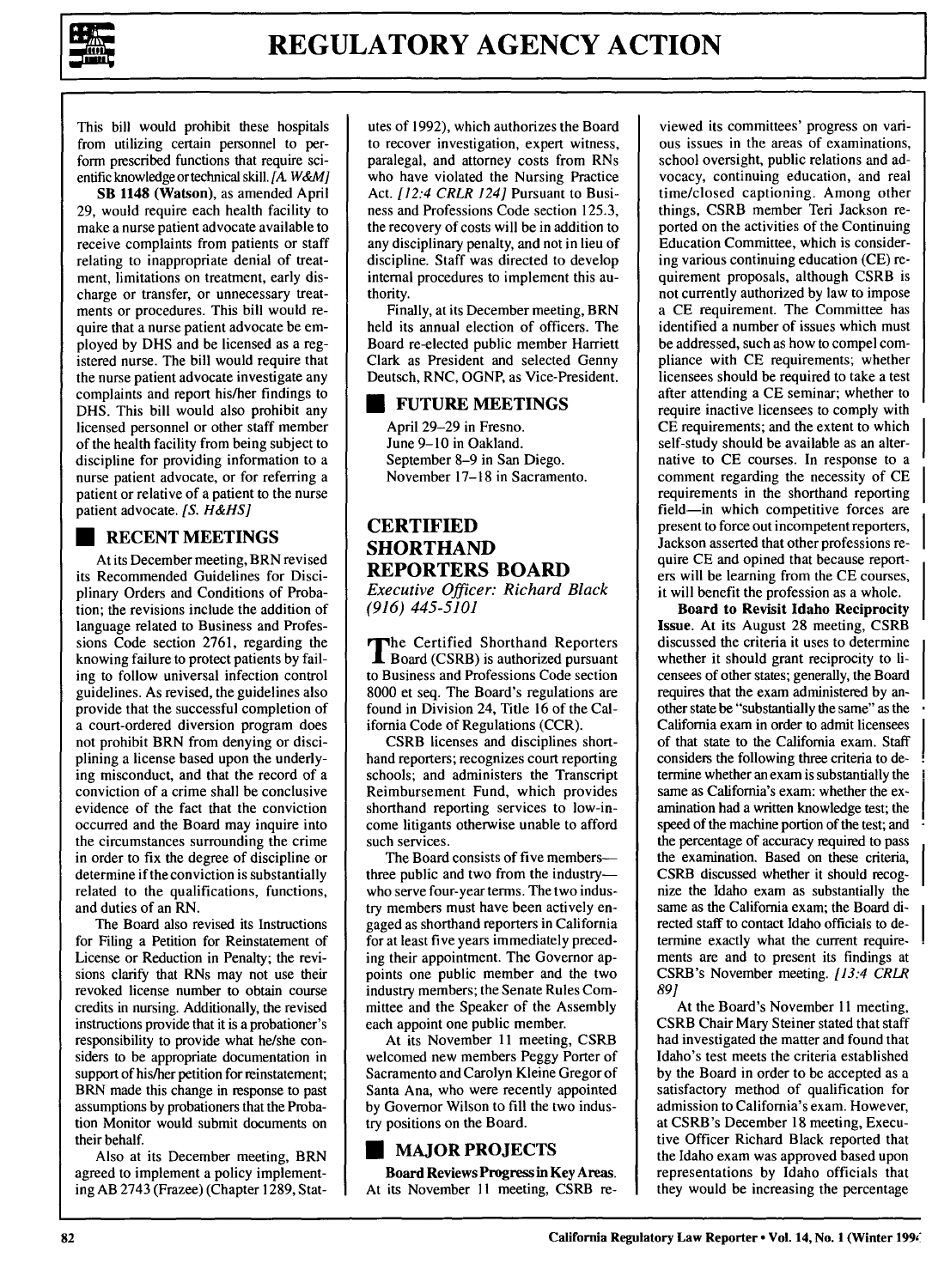

This bill would prohibit these hospitals from utilizing certain personnel to perform prescribed functions that require scientific knowledge or technical skill. *[A W&M]*

SB 1148 (Watson), as amended April 29, would require each health facility to make a nurse patient advocate available to receive complaints from patients or staff relating to inappropriate denial of treatment, limitations on treatment, early discharge or transfer, or unnecessary treatments or procedures. This bill would require that a nurse patient advocate be employed by DHS and be licensed as a registered nurse. The bill would require that the nurse patient advocate investigate any complaints and report his/her findings to DHS. This bill would also prohibit any licensed personnel or other staff member of the health facility from being subject to discipline for providing information to a nurse patient advocate, or for referring a patient or relative of a patient to the nurse patient advocate. *[S. H&HS]*

## **\* RECENT MEETINGS**

At its December meeting, BRN revised its Recommended Guidelines for Disciplinary Orders and Conditions of Probation; the revisions include the addition of language related to Business and Professions Code section **2761,** regarding the knowing failure to protect patients **by** failing to follow universal infection control guidelines. As revised, the guidelines also provide that the successful completion of a court-ordered diversion program does not prohibit BRN from denying or disciplining a license based upon the underlying misconduct, and that the record of a conviction of a crime shall be conclusive evidence of the fact that the conviction occurred and the Board may inquire into the circumstances surrounding the crime in order to fix the degree of discipline or determine if the conviction is substantially related to the qualifications, functions, and duties of an RN.

The Board also revised its Instructions for Filing a Petition for Reinstatement of License or Reduction in Penalty; the revisions clarify that RNs may not use their revoked license number to obtain course credits in nursing. Additionally, the revised instructions provide that it is a probationer's responsibility to provide what he/she considers to be appropriate documentation in support of his/her petition for reinstatement; BRN made this change in response to past assumptions **by** probationers that the Probation Monitor would submit documents on their behalf.

Also at its December meeting, BRN agreed to implement a policy implementing AB 2743 (Frazee) (Chapter **1289,** Statutes of 1992), which authorizes the Board to recover investigation, expert witness, paralegal, and attorney costs from RNs who have violated the Nursing Practice Act. *[12:4 CRLR 124]* Pursuant to Business and Professions Code section 125.3, the recovery of costs will be in addition to any disciplinary penalty, and not in lieu of discipline. Staff was directed to develop internal procedures to implement this authority.

Finally, at its December meeting, BRN held its annual election of officers. The Board re-elected public member Harriett Clark as President and selected Genny Deutsch, RNC, **OGNP,** as Vice-President.

#### **\* FUTURE MEETINGS**

April 29-29 in Fresno. June 9-10 in Oakland. September 8-9 in San Diego. November 17-18 in Sacramento.

### **CERTIFIED SHORTHAND REPORTERS BOARD** *Executive Officer: Richard Black (916) 445-5101*

**The Certified Shorthand Reporters** Board (CSRB) is authorized pursuant to Business and Professions Code section 8000 et seq. The Board's regulations are found in Division 24, Title **16** of the California Code of Regulations (CCR).

CSRB licenses and disciplines shorthand reporters; recognizes court reporting schools; and administers the Transcript Reimbursement Fund, which provides shorthand reporting services to low-income litigants otherwise unable to afford such services.

The Board consists of five membersthree public and two from the industrywho serve four-year terms. The two industry members must have been actively engaged as shorthand reporters in California for at least five years immediately preceding their appointment. The Governor appoints one public member and the two industry members; the Senate Rules Committee and the Speaker of the Assembly each appoint one public member.

At its November 11 meeting, CSRB welcomed new members Peggy Porter of Sacramento and Carolyn Kleine Gregor of Santa Ana, who were recently appointed by Governor Wilson to fill the two industry positions on the Board.

# **U MAJOR PROJECTS**

**Board Reviews Progress in Key Areas.** At its November 11 meeting, CSRB re-

viewed its committees' progress on various issues in the areas of examinations, school oversight, public relations and advocacy, continuing education, and real time/closed captioning. Among other things, CSRB member Teri Jackson reported on the activities of the Continuing Education Committee, which is considering various continuing education (CE) requirement proposals, although CSRB is not currently authorized by law to impose a CE requirement. The Committee has identified a number of issues which must be addressed, such as how to compel compliance with CE requirements; whether licensees should be required to take a test after attending a CE seminar; whether to require inactive licensees to comply with CE requirements; and the extent to which self-study should be available as an alternative to CE courses. In response to a comment regarding the necessity of CE requirements in the shorthand reporting field-in which competitive forces are present to force out incompetent reporters, Jackson asserted that other professions require CE and opined that because reporters will be learning from the CE courses, it will benefit the profession as a whole.

**Board to Revisit Idaho Reciprocity** Issue. At its August **28** meeting, CSRB discussed the criteria it uses to determine whether it should grant reciprocity to licensees of other states; generally, the Board requires that the exam administered **by** another state be "substantially the same" as the California exam in order to admit licensees of that state to the California exam. Staff considers the following three criteria to determine whether an exam is substantially the same as California's exam: whether the examination had a written knowledge test; the speed of the machine portion of the test; and the percentage of accuracy required to pass the examination. Based on these criteria, CSRB discussed whether it should recognize the Idaho exam as substantially the same as the California exam; the Board directed staff to contact Idaho officials to **de**termine exactly what the current requirements are and to present its findings at CSRB's November meeting. *[13:4 CRLR 89]*

At the Board's November **11** meeting, CSRB Chair Mary Steiner stated that staff had investigated the matter and found that Idaho's test meets the criteria established **by** the Board in order to be accepted as a satisfactory method of qualification for admission to California's exam. However, at CSRB's December **18** meeting, Executive Officer Richard Black reported that the Idaho exam was approved based upon representations **by** Idaho officials that they would be increasing the percentage